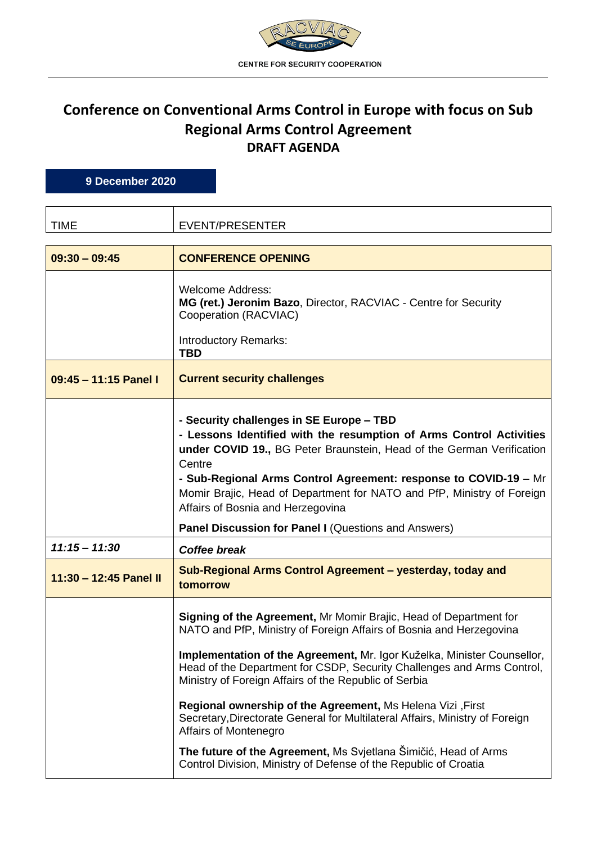

## **Conference on Conventional Arms Control in Europe with focus on Sub Regional Arms Control Agreement DRAFT AGENDA**

**9 December 2020**

| <b>TIME</b>            | EVENT/PRESENTER                                                                                                                                                                                                                                                                                                                                                                                                                                                                                                                                                                                                                                                             |
|------------------------|-----------------------------------------------------------------------------------------------------------------------------------------------------------------------------------------------------------------------------------------------------------------------------------------------------------------------------------------------------------------------------------------------------------------------------------------------------------------------------------------------------------------------------------------------------------------------------------------------------------------------------------------------------------------------------|
| $09:30 - 09:45$        | <b>CONFERENCE OPENING</b>                                                                                                                                                                                                                                                                                                                                                                                                                                                                                                                                                                                                                                                   |
|                        | <b>Welcome Address:</b><br>MG (ret.) Jeronim Bazo, Director, RACVIAC - Centre for Security<br>Cooperation (RACVIAC)<br><b>Introductory Remarks:</b><br><b>TBD</b>                                                                                                                                                                                                                                                                                                                                                                                                                                                                                                           |
| 09:45 - 11:15 Panel I  | <b>Current security challenges</b>                                                                                                                                                                                                                                                                                                                                                                                                                                                                                                                                                                                                                                          |
|                        | - Security challenges in SE Europe - TBD<br>- Lessons Identified with the resumption of Arms Control Activities<br>under COVID 19., BG Peter Braunstein, Head of the German Verification<br>Centre<br>- Sub-Regional Arms Control Agreement: response to COVID-19 - Mr<br>Momir Brajic, Head of Department for NATO and PfP, Ministry of Foreign<br>Affairs of Bosnia and Herzegovina                                                                                                                                                                                                                                                                                       |
|                        | Panel Discussion for Panel I (Questions and Answers)                                                                                                                                                                                                                                                                                                                                                                                                                                                                                                                                                                                                                        |
| $11:15 - 11:30$        | <b>Coffee break</b>                                                                                                                                                                                                                                                                                                                                                                                                                                                                                                                                                                                                                                                         |
| 11:30 - 12:45 Panel II | Sub-Regional Arms Control Agreement - yesterday, today and<br>tomorrow                                                                                                                                                                                                                                                                                                                                                                                                                                                                                                                                                                                                      |
|                        | Signing of the Agreement, Mr Momir Brajic, Head of Department for<br>NATO and PfP, Ministry of Foreign Affairs of Bosnia and Herzegovina<br>Implementation of the Agreement, Mr. Igor Kuželka, Minister Counsellor,<br>Head of the Department for CSDP, Security Challenges and Arms Control,<br>Ministry of Foreign Affairs of the Republic of Serbia<br>Regional ownership of the Agreement, Ms Helena Vizi, First<br>Secretary, Directorate General for Multilateral Affairs, Ministry of Foreign<br><b>Affairs of Montenegro</b><br>The future of the Agreement, Ms Svjetlana Šimičić, Head of Arms<br>Control Division, Ministry of Defense of the Republic of Croatia |